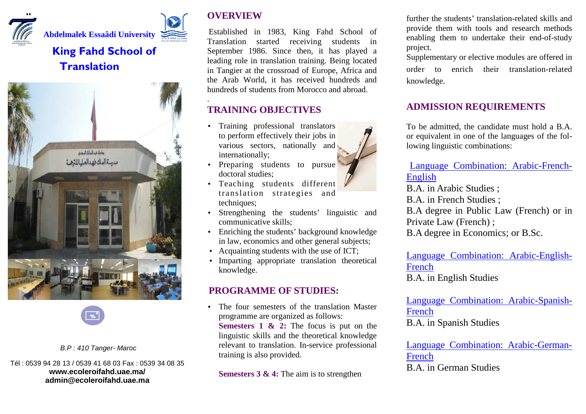



# **King Fahd School of Translation**





#### B.P : 410 Tanger- Maroc

Tél : 0539 94 28 13 / 0539 41 68 03 Fax : 0539 34 08 35 **www.ecoleroifahd.uae.ma/ admin@ecoleroifahd.uae.ma** 

# **OVERVIEW**

.

 Established in 1983, King Fahd School of Translation started receiving students in September 1986. Since then, it has played a leading role in translation training. Being located in Tangier at the crossroad of Europe, Africa and the Arab World, it has received hundreds and hundreds of students from Morocco and abroad.

# **TRAINING OBJECTIVES**

- Training professional translators to perform effectively their jobs in various sectors, nationally and internationally;
- Preparing students to pursue doctoral studies;
- Teaching students different translation strategies and techniques;
- Strengthening the students' linguistic and communicative skills;
- Enriching the students' background knowledge in law, economics and other general subjects;
- Acquainting students with the use of ICT;
- Imparting appropriate translation theoretical knowledge.

# **PROGRAMME OF STUDIES:**

• The four semesters of the translation Master programme are organized as follows: **Semesters 1 & 2:** The focus is put on the linguistic skills and the theoretical knowledge relevant to translation. In-service professional training is also provided.

**Semesters 3 & 4:** The aim is to strengthen

further the students' translation-related skills and provide them with tools and research methods enabling them to undertake their end-of-study project.

Supplementary or elective modules are offered in order to enrich their translation-related knowledge.

### **ADMISSION REQUIREMENTS**

To be admitted, the candidate must hold a B.A. or equivalent in one of the languages of the following linguistic combinations:

# Language Combination: Arabic-French-English

 B.A. in Arabic Studies ; B.A. in French Studies ; B.A degree in Public Law (French) or in Private Law (French) ; B.A degree in Economics; or B.Sc.

Language Combination: Arabic-English-FrenchB.A. in English Studies

Language Combination: Arabic-Spanish-FrenchB.A. in Spanish Studies

Language Combination: Arabic-German-FrenchB.A. in German Studies